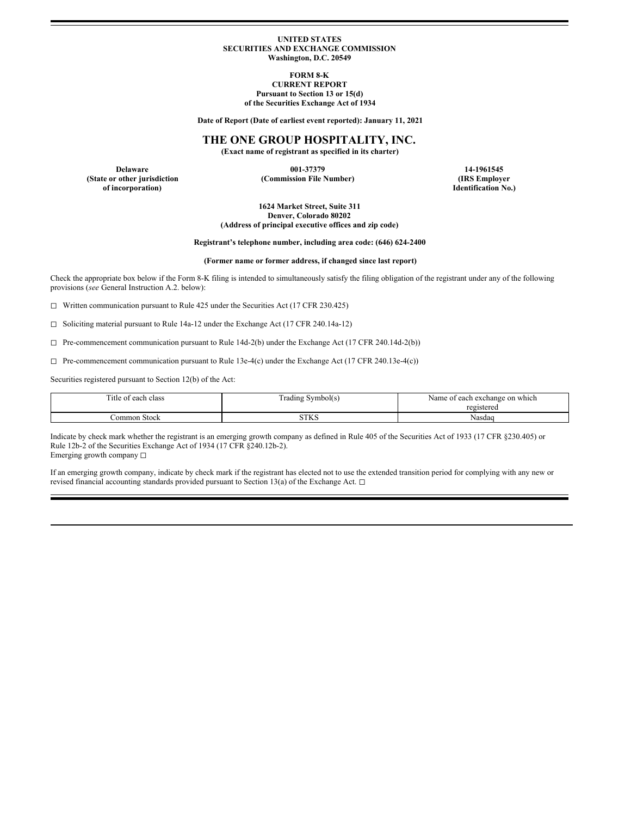#### **UNITED STATES SECURITIES AND EXCHANGE COMMISSION Washington, D.C. 20549**

**FORM 8-K**

**CURRENT REPORT Pursuant to Section 13 or 15(d) of the Securities Exchange Act of 1934**

**Date of Report (Date of earliest event reported): January 11, 2021**

## **THE ONE GROUP HOSPITALITY, INC.**

**(Exact name of registrant as specified in its charter)**

**Delaware 001-37379 14-1961545 of incorporation) Identification No.)**

**(State or other jurisdiction (Commission File Number) (IRS Employer**

**1624 Market Street, Suite 311 Denver, Colorado 80202 (Address of principal executive offices and zip code)**

**Registrant's telephone number, including area code: (646) 624-2400**

**(Former name or former address, if changed since last report)**

Check the appropriate box below if the Form 8-K filing is intended to simultaneously satisfy the filing obligation of the registrant under any of the following provisions (*see* General Instruction A.2. below):

◻ Written communication pursuant to Rule 425 under the Securities Act (17 CFR 230.425)

◻ Soliciting material pursuant to Rule 14a-12 under the Exchange Act (17 CFR 240.14a-12)

 $\Box$  Pre-commencement communication pursuant to Rule 14d-2(b) under the Exchange Act (17 CFR 240.14d-2(b))

 $\Box$  Pre-commencement communication pursuant to Rule 13e-4(c) under the Exchange Act (17 CFR 240.13e-4(c))

Securities registered pursuant to Section 12(b) of the Act:

| Title of<br>each class *<br>. | Symbol(s)<br>rading | Name<br>t each exchange on which<br>registered |
|-------------------------------|---------------------|------------------------------------------------|
| ∴ommon Stock                  | CTTZC<br>31 N.C     | Nasdaq                                         |

Indicate by check mark whether the registrant is an emerging growth company as defined in Rule 405 of the Securities Act of 1933 (17 CFR §230.405) or Rule 12b-2 of the Securities Exchange Act of 1934 (17 CFR §240.12b-2). Emerging growth company □

If an emerging growth company, indicate by check mark if the registrant has elected not to use the extended transition period for complying with any new or revised financial accounting standards provided pursuant to Section 13(a) of the Exchange Act. □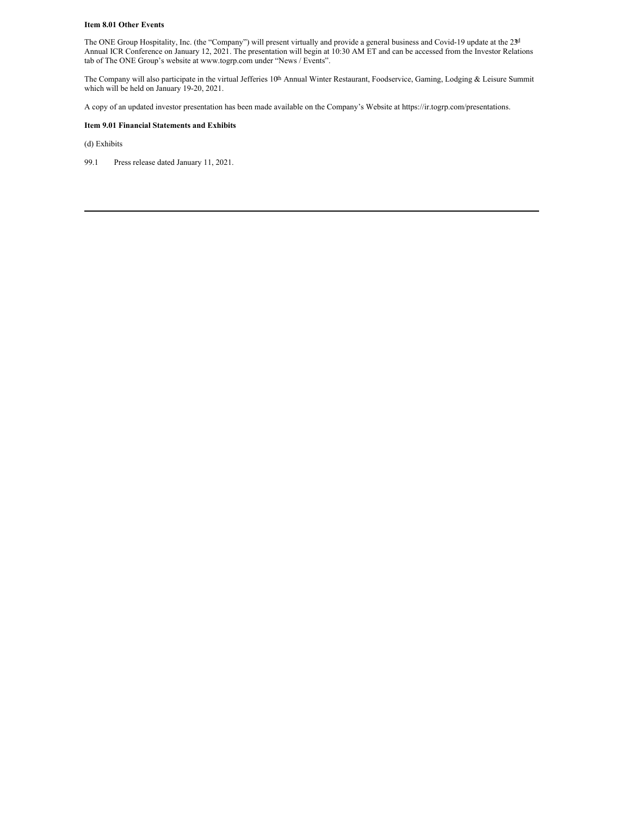#### **Item 8.01 Other Events**

The ONE Group Hospitality, Inc. (the "Company") will present virtually and provide a general business and Covid-19 update at the 23d Annual ICR Conference on January 12, 2021. The presentation will begin at 10:30 AM ET and can be accessed from the Investor Relations tab of The ONE Group's website at www.togrp.com under "News / Events".

The Company will also participate in the virtual Jefferies 10<sup>th</sup> Annual Winter Restaurant, Foodservice, Gaming, Lodging & Leisure Summit which will be held on January 19-20, 2021.

A copy of an updated investor presentation has been made available on the Company's Website at https://ir.togrp.com/presentations.

## **Item 9.01 Financial Statements and Exhibits**

(d) Exhibits

99.1 Press release dated January 11, 2021.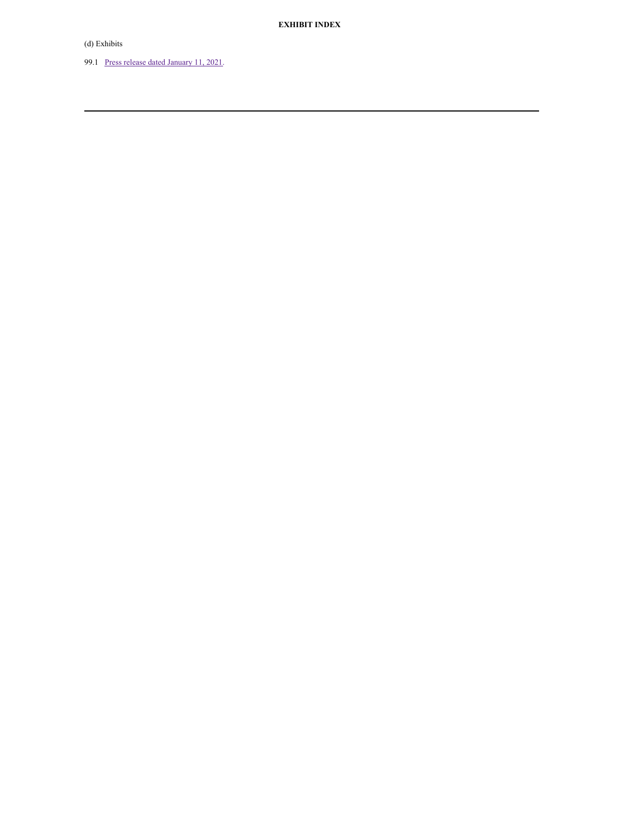(d) Exhibits

99.1 Press release dated [January](#page-4-0) 11, 2021.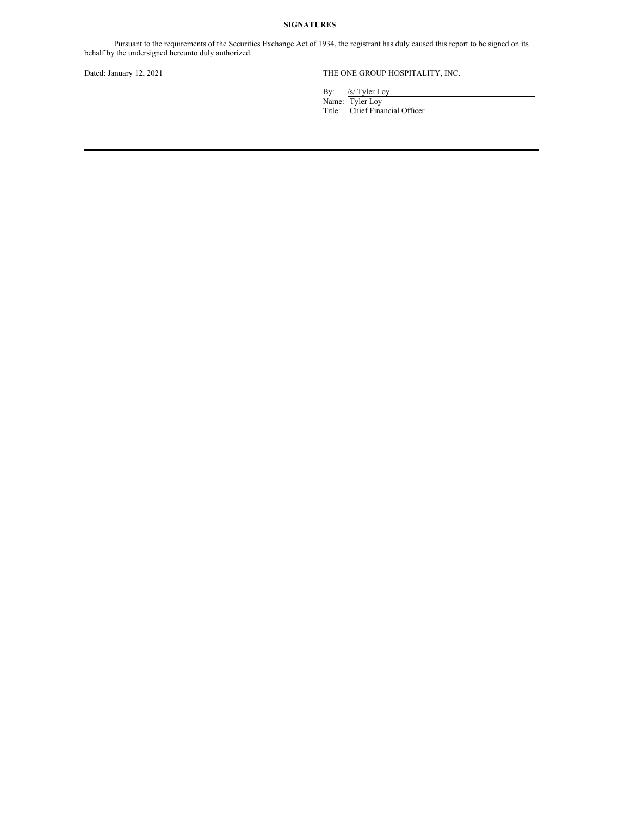## **SIGNATURES**

Pursuant to the requirements of the Securities Exchange Act of 1934, the registrant has duly caused this report to be signed on its behalf by the undersigned hereunto duly authorized.

## Dated: January 12, 2021 THE ONE GROUP HOSPITALITY, INC.

By: /s/ Tyler Loy

Name: Tyler Loy Title: Chief Financial Officer